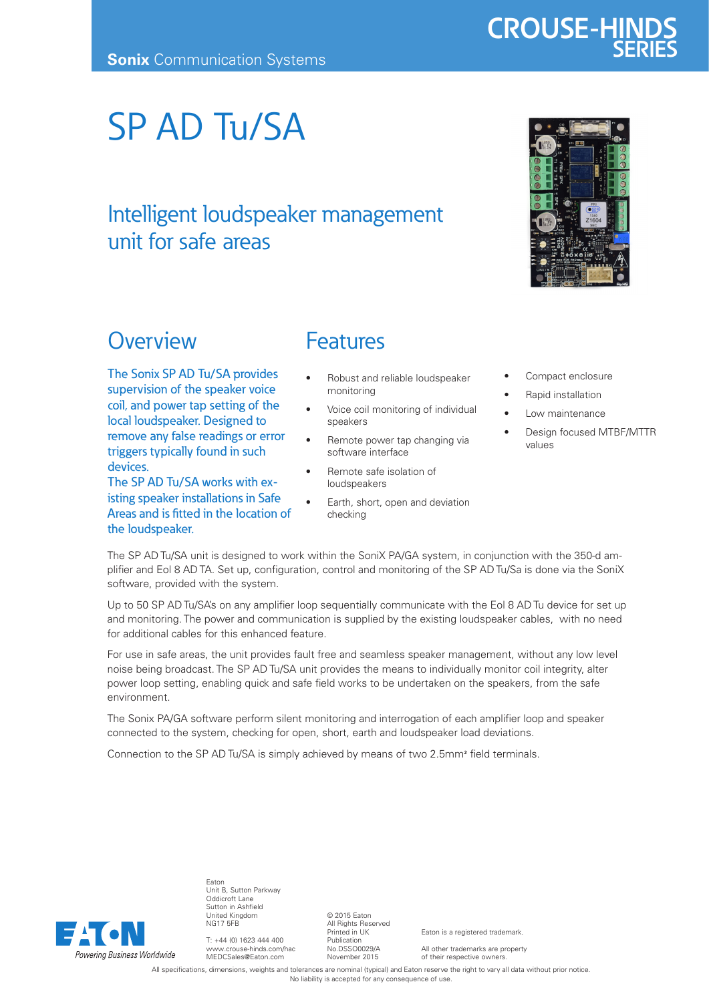# SP AD Tu/SA

### Intelligent loudspeaker management unit for safe areas

## **Overview**

The Sonix SP AD Tu/SA provides supervision of the speaker voice coil, and power tap setting of the local loudspeaker. Designed to remove any false readings or error triggers typically found in such devices.

The SP AD Tu/SA works with existing speaker installations in Safe Areas and is fitted in the location of the loudspeaker.

#### Features

- Robust and reliable loudspeaker monitoring
- Voice coil monitoring of individual speakers
- Remote power tap changing via software interface
- Remote safe isolation of loudspeakers
- Earth, short, open and deviation checking
- Compact enclosure
- Rapid installation
- Low maintenance
- Design focused MTBF/MTTR values

The SP AD Tu/SA unit is designed to work within the SoniX PA/GA system, in conjunction with the 350-d amplifier and Eol 8 AD TA. Set up, configuration, control and monitoring of the SP AD Tu/Sa is done via the SoniX software, provided with the system.

Up to 50 SP AD Tu/SA's on any amplifier loop sequentially communicate with the Eol 8 AD Tu device for set up and monitoring. The power and communication is supplied by the existing loudspeaker cables, with no need for additional cables for this enhanced feature.

For use in safe areas, the unit provides fault free and seamless speaker management, without any low level noise being broadcast. The SP AD Tu/SA unit provides the means to individually monitor coil integrity, alter power loop setting, enabling quick and safe field works to be undertaken on the speakers, from the safe environment.

The Sonix PA/GA software perform silent monitoring and interrogation of each amplifier loop and speaker connected to the system, checking for open, short, earth and loudspeaker load deviations.

Connection to the SP AD Tu/SA is simply achieved by means of two 2.5mm2 field terminals.



Eaton Unit B, Sutton Parkway Oddicroft Lane Sutton in Ashfield United Kingdom NG17 5FB

T: +44 (0) 1623 444 400 www.crouse-hinds.com/hac MEDCSales@Eaton.com

© 2015 Eaton All Rights Reserved Printed in UK Publication No.DSSO0029/A November 2015

Eaton is a registered trademark.

All other trademarks are property of their respective owners.

All specifications, dimensions, weights and tolerances are nominal (typical) and Eaton reserve the right to vary all data without prior notice. No liability is accepted for any consequence of use.



#### **CROUSE-HIND SERIES**